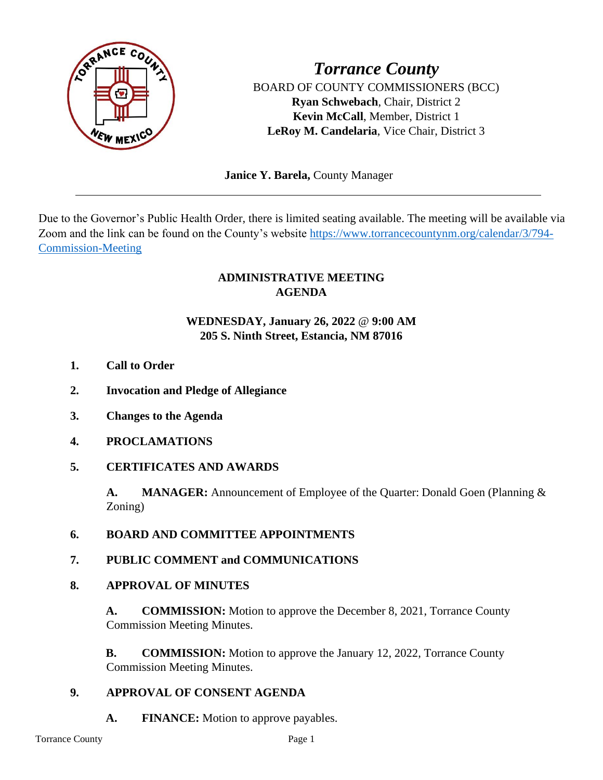

*Torrance County* BOARD OF COUNTY COMMISSIONERS (BCC) **Ryan Schwebach**, Chair, District 2 **Kevin McCall**, Member, District 1 **LeRoy M. Candelaria**, Vice Chair, District 3

 **Janice Y. Barela,** County Manager

Due to the Governor's Public Health Order, there is limited seating available. The meeting will be available via Zoom and the link can be found on the County's website [https://www.torrancecountynm.org/calendar/3/794-](https://www.torrancecountynm.org/calendar/3/794-Commission-Meeting) [Commission-Meeting](https://www.torrancecountynm.org/calendar/3/794-Commission-Meeting)

# **ADMINISTRATIVE MEETING AGENDA**

# **WEDNESDAY, January 26, 2022** @ **9:00 AM 205 S. Ninth Street, Estancia, NM 87016**

- **1. Call to Order**
- **2. Invocation and Pledge of Allegiance**
- **3. Changes to the Agenda**
- **4. PROCLAMATIONS**
- **5. CERTIFICATES AND AWARDS**

**A. MANAGER:** Announcement of Employee of the Quarter: Donald Goen (Planning & Zoning)

- **6. BOARD AND COMMITTEE APPOINTMENTS**
- **7. PUBLIC COMMENT and COMMUNICATIONS**

## **8. APPROVAL OF MINUTES**

**A. COMMISSION:** Motion to approve the December 8, 2021, Torrance County Commission Meeting Minutes.

**B. COMMISSION:** Motion to approve the January 12, 2022, Torrance County Commission Meeting Minutes.

## **9. APPROVAL OF CONSENT AGENDA**

**A. FINANCE:** Motion to approve payables.